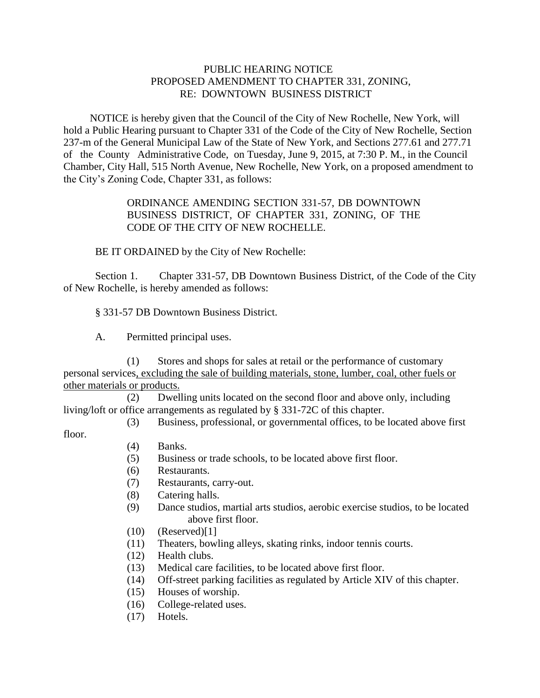## PUBLIC HEARING NOTICE PROPOSED AMENDMENT TO CHAPTER 331, ZONING, RE: DOWNTOWN BUSINESS DISTRICT

 NOTICE is hereby given that the Council of the City of New Rochelle, New York, will hold a Public Hearing pursuant to Chapter 331 of the Code of the City of New Rochelle, Section 237-m of the General Municipal Law of the State of New York, and Sections 277.61 and 277.71 of the County Administrative Code, on Tuesday, June 9, 2015, at 7:30 P. M., in the Council Chamber, City Hall, 515 North Avenue, New Rochelle, New York, on a proposed amendment to the City's Zoning Code, Chapter 331, as follows:

## ORDINANCE AMENDING SECTION 331-57, DB DOWNTOWN BUSINESS DISTRICT, OF CHAPTER 331, ZONING, OF THE CODE OF THE CITY OF NEW ROCHELLE.

BE IT ORDAINED by the City of New Rochelle:

Section 1. Chapter 331-57, DB Downtown Business District, of the Code of the City of New Rochelle, is hereby amended as follows:

§ 331-57 DB Downtown Business District.

A. Permitted principal uses.

 (1) Stores and shops for sales at retail or the performance of customary personal services, excluding the sale of building materials, stone, lumber, coal, other fuels or other materials or products.

 (2) Dwelling units located on the second floor and above only, including living/loft or office arrangements as regulated by § 331-72C of this chapter.

(3) Business, professional, or governmental offices, to be located above first

floor.

- (4) Banks.
- (5) Business or trade schools, to be located above first floor.
- (6) Restaurants.
- (7) Restaurants, carry-out.
- (8) Catering halls.
- (9) Dance studios, martial arts studios, aerobic exercise studios, to be located above first floor.
- $(10)$   $(Reserved)[1]$
- (11) Theaters, bowling alleys, skating rinks, indoor tennis courts.
- (12) Health clubs.
- (13) Medical care facilities, to be located above first floor.
- (14) Off-street parking facilities as regulated by Article XIV of this chapter.
- (15) Houses of worship.
- (16) College-related uses.
- (17) Hotels.